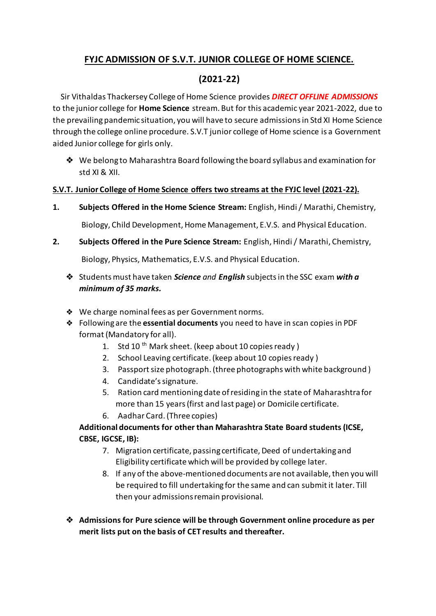## **FYJC ADMISSION OF S.V.T. JUNIOR COLLEGE OF HOME SCIENCE.**

# **(2021-22)**

 Sir Vithaldas Thackersey College of Home Science provides *DIRECT OFFLINE ADMISSIONS* to the junior college for **Home Science** stream. But for this academic year 2021-2022, due to the prevailing pandemic situation, you will have to secure admissions in Std XI Home Science through the college online procedure. S.V.T junior college of Home science is a Government aided Junior college for girls only.

❖ We belong to Maharashtra Board following the board syllabus and examination for std XI & XII.

#### **S.V.T. Junior College of Home Science offers two streams at the FYJC level (2021-22).**

**1. Subjects Offered in the Home Science Stream:** English, Hindi / Marathi, Chemistry,

Biology, Child Development, Home Management, E.V.S. and Physical Education.

**2. Subjects Offered in the Pure Science Stream:** English, Hindi / Marathi, Chemistry,

Biology, Physics, Mathematics, E.V.S. and Physical Education.

- ❖ Students must have taken *Science and English* subjects in the SSC exam *with a minimum of 35 marks.*
- ❖ We charge nominal fees as per Government norms.
- ❖ Following are the **essential documents** you need to have in scan copies in PDF format (Mandatory for all).
	- 1. Std 10<sup>th</sup> Mark sheet. (keep about 10 copies ready)
	- 2. School Leaving certificate. (keep about 10 copies ready )
	- 3. Passport size photograph. (three photographs with white background )
	- 4. Candidate's signature.
	- 5. Ration card mentioning date of residing in the state of Maharashtra for more than 15 years (first and last page) or Domicile certificate.
	- 6. Aadhar Card. (Three copies)

### **Additional documents for other than Maharashtra State Board students(ICSE, CBSE, IGCSE, IB):**

- 7. Migration certificate, passing certificate, Deed of undertaking and Eligibility certificate which will be provided by college later.
- 8. If any of the above-mentioned documents are not available, then you will be required to fill undertaking for the same and can submit it later. Till then your admissions remain provisional.
- ❖ **Admissions for Pure science will be through Government online procedure as per merit lists put on the basis of CET results and thereafter.**